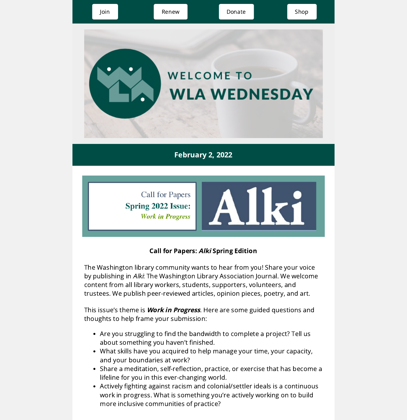

**Spring 2022 Issue: Work in Progress** 



## Call for Papers: Alki Spring Edition

The Washington library community wants to hear from you! Share your voice by publishing in Alki: The Washington Library Association Journal. We welcome content from all library workers, students, supporters, volunteers, and trustees. We publish peer-reviewed articles, opinion pieces, poetry, and art.

This issue's theme is **Work in Progress**. Here are some guided questions and thoughts to help frame your submission:

- Are you struggling to find the bandwidth to complete a project? Tell us about something you haven't finished.
- What skills have you acquired to help manage your time, your capacity, and your boundaries at work?
- Share a meditation, self-reflection, practice, or exercise that has become a lifeline for you in this ever-changing world.
- Actively fighting against racism and colonial/settler ideals is a continuous work in progress. What is something you're actively working on to build more inclusive communities of practice?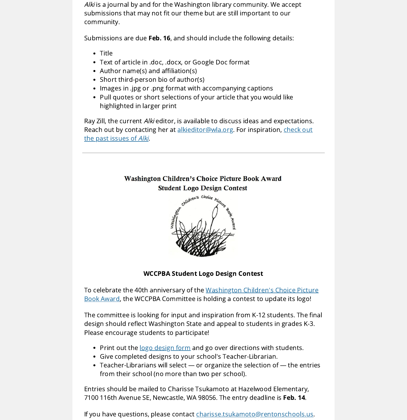Alki is a journal by and for the Washington library community. We accept submissions that may not fit our theme but are still important to our community.

Submissions are due Feb. 16, and should include the following details:

- Title
- Text of article in .doc, .docx, or Google Doc format
- Author name(s) and affiliation(s)
- Short third-person bio of author(s)
- Images in .jpg or .png format with accompanying captions
- Pull quotes or short selections of your article that you would like highlighted in larger print

Ray Zill, the current Alki editor, is available to discuss ideas and expectations. Reach out by contacting her at [alkieditor@wla.or](mailto:alkieditor@wla.org?subject=&body=)[g.](https://www.wla.org/alki-archives) For inspiration, check out the past issues of Alki.

## Washington Children's Choice Picture Book Award **Student Logo Design Contest**



### WCCPBA Student Logo Design Contest

To celebrate the 40th anniversary of the [Washington](https://wala.memberclicks.net/wccpba-award) Children's Choice Picture Book Award, the WCCPBA Committee is holding a contest to update its logo!

The committee is looking for input and inspiration from K-12 students. The final design should reflect Washington State and appeal to students in grades K-3. Please encourage students to participate!

- Print out the logo [design](https://wala.memberclicks.net/assets/Book_Award/WCCPBA/WCCPBA%20Logo%20Contest.pdf) form and go over directions with students.
- Give completed designs to your school's Teacher-Librarian.
- Teacher-Librarians will select or organize the selection of the entries from their school (no more than two per school).

Entries should be mailed to Charisse Tsukamoto at Hazelwood Elementary, 7100 116th Avenue SE, Newcastle, WA 98056. The entry deadline is Feb. 14.

If you have questions, please contact [charisse.tsukamoto@rentonschools.us.](mailto:charisse.tsukamoto@rentonschools.us)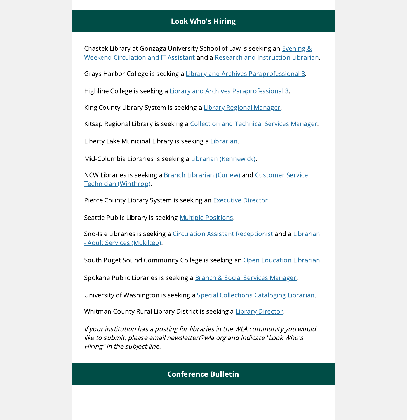### Look Who's Hiring

Chastek Library at Gonzaga University School of Law is seeking an Evening & Weekend Circulation and IT Assistant and a Research and [Instruction](https://gonzaga.peopleadmin.com/postings/16742) Librarian.

Grays Harbor College is seeking a Library and Archives [Paraprofessional](https://www.schooljobs.com/careers/ghc/jobs/3372844/library-and-archives-paraprofessional-3) 3.

Highline College is seeking a Library and Archives [Paraprofessional](https://www.schooljobs.com/careers/highline/jobs/3399517/library-archives-paraprofessional-3) 3.

King County Library System is seeking a Library Regional [Manager.](https://us61e2.dayforcehcm.com/CandidatePortal/en-US/kcls/Posting/View/767)

Kitsap Regional Library is seeking a [Collection](https://krl.applicantpro.com/jobs/2172098.html) and Technical Services Manager.

Liberty Lake Municipal Library is seeking a [Librarian](https://www.libertylakewa.gov/Jobs.aspx?UniqueId=98&From=All&CommunityJobs=False&JobID=Librarian-85).

Mid-Columbia Libraries is seeking a Librarian [\(Kennewick\)](https://www.midcolumbialibraries.org/jobs/posting/92120).

NCW Libraries is seeking a Branch [Librarian](https://www.ncwlibraries.org/currentopenings/) (Curlew) and Customer Service Technician [\(Winthrop\).](https://www.ncwlibraries.org/currentopenings/)

Pierce County Library System is seeking an **[Executive](https://bradburymiller.com/job/pcls/) Director**.

Seattle Public Library is seeking Multiple [Positions](https://www.spl.org/about-us/library-careers).

Sno-Isle Libraries is seeking a Circulation Assistant [Receptionist](https://www.paycomonline.net/v4/ats/web.php/jobs/ViewJobDetails?job=52189&clientkey=7DCA7393E0FCBDDD24786ED549B71F9E) and a Librarian - Adult Services (Mukilteo).

South Puget Sound Community College is seeking an Open [Education](https://www.schooljobs.com/careers/spscc/jobs/3387268/open-education-librarian-full-time-tenure-track) Librarian.

Spokane Public Libraries is seeking a Branch & Social Services [Manager.](https://www.spokanelibrary.org/aboutus_libraryinformation_employmentopportunities/)

University of Washington is seeking a Special [Collections](https://apply.interfolio.com/100896) Cataloging Librarian.

Whitman County Rural Library District is seeking a Library [Director.](https://www.whitcolib.org/wp-content/uploads/2021/10/Director-Job-Description.pdf)

If your institution has <sup>a</sup> posting for libraries in the WLA community you would like to submit, please email newsletter@wla.org and indicate "Look Who's Hiring" in the subject line.

### Conference Bulletin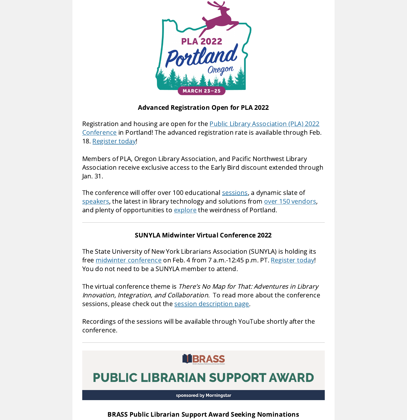

### Advanced Registration Open for PLA 2022

[Registration](https://www.placonference.org/index.cfm) and housing are open for the Public Library Association (PLA) 2022 Conference in Portland! The advanced registration rate is available through Feb. 18. [Register](https://www.placonference.org/registration.cfm) today!

Members of PLA, Oregon Library Association, and Pacific Northwest Library Association receive exclusive access to the Early Bird discount extended through Jan. 31.

The conference will offer over 100 educational [sessions](https://www.placonference.org/programs.cfm), a dynamic slate of [speakers](https://www.placonference.org/special_events.cfm), the latest in library technology and solutions from over 150 [vendors](https://s23.a2zinc.net/clients/corcexpo/pla2022/public/Exhibitors.aspx?ID=5933&sortMenu=103000#), and plenty of opportunities to [explore](https://www.travelportland.com/) the weirdness of Portland.

### SUNYLA Midwinter Virtual Conference 2022

The State University of New York Librarians Association (SUNYLA) is holding its free midwinter [conference](https://sunyla.org/sunyla-midwinter-2022/) on Feb. 4 from 7 a.m.-12:45 p.m. PT. [Register](https://us02web.zoom.us/webinar/register/WN_IWaGG9tpQd-EpafKzIGYlg) today! You do not need to be a SUNYLA member to attend.

The virtual conference theme is There's No Map for That: Adventures in Library Innovation, Integration, and Collaboration. To read more about the conference sessions, please check out the session [description](http://sunyla.org/sunyla-midwinter-2022/) page.

Recordings of the sessions will be available through YouTube shortly after the conference.

# **NBRASS**

# **PUBLIC LIBRARIAN SUPPORT AWARD**

sponsored by Morningstar

BRASS Public Librarian Support Award Seeking Nominations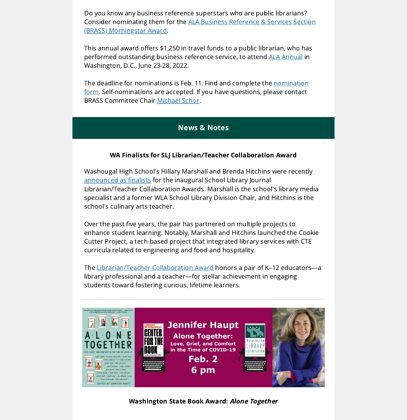Do you know any business reference superstars who are public librarians? Consider nominating them for the ALA Business Reference & Services Section (BRASS) [Morningstar](http://www.ala.org/rusa/brass-public-librarian-support-award) Award.

This annual award offers \$1,250 in travel funds to a public librarian, who has performed outstanding business reference service, to attend ALA [Annual](https://2022.alaannual.org/) in Washington, D.C., June 23-28, 2022.

The deadline for nominations is Feb. 11. Find and complete the nomination form. [Self-nominations](https://docs.google.com/forms/d/e/1FAIpQLSdFnf28CVyaubIttJsnx20fjYaMh6BYpSCO--JOtDK29lLr9w/viewform) are accepted. If you have questions, please contact BRASS Committee Chair [Michael](mailto:mschor@glendaleaz.com?subject=&body=) Schor.

### News & Notes

### WA Finalists for SLJ Librarian/Teacher Collaboration Award

Washougal High School's Hillary Marshall and Brenda Hitchins were recently [announced](https://www.slj.com/?detailStory=partnering-on-a-curriculum-for-baking-reading-and-mastering-tech-slj-ibrarian-teacher-collaboration-award-finalists) as finalists for the inaugural School Library Journal Librarian/Teacher Collaboration Awards. Marshall is the school's library media specialist and a former WLA School Library Division Chair, and Hitchins is the school's culinary arts teacher.

Over the past five years, the pair has partnered on multiple projects to enhance student learning. Notably, Marshall and Hitchins launched the Cookie Cutter Project, a tech-based project that integrated library services with CTE curricula related to engineering and food and hospitality.

The [Librarian/Teacher](https://www.slj.com/?page=librarian-teacher-collaboration-award) Collaboration Award honors a pair of K–12 educators—a library professional and a teacher—for stellar achievement in engaging students toward fostering curious, lifetime learners.



Washington State Book Award: Alone Together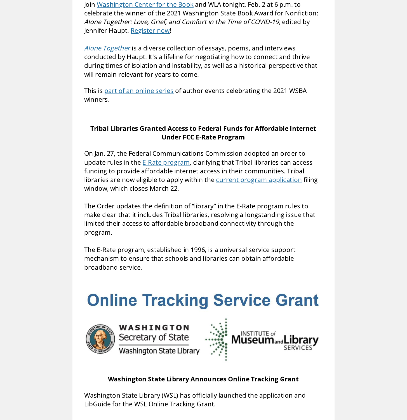Join [Washington](http://www.washingtoncenterforthebook.org/) Center for the Book and WLA tonight, Feb. 2 at 6 p.m. to celebrate the winner of the 2021 Washington State Book Award for Nonfiction: Alone Together: Love, Grief, and Comfort in the Time of COVID-19, edited by Jennifer Haupt. [Register](https://us02web.zoom.us/webinar/register/WN_UjiL_ZY7ReitNMbQ2DUtAg) now!

Alone [Together](https://www.jenniferhaupt.com/alone-together) is a diverse collection of essays, poems, and interviews conducted by Haupt. It's a lifeline for negotiating how to connect and thrive during times of isolation and instability, as well as a historical perspective that will remain relevant for years to come.

This is part of an [online](http://www.washingtoncenterforthebook.org/wsba-authorevents/) series of author events celebrating the 2021 WSBA winners.

### Tribal Libraries Granted Access to Federal Funds for Affordable Internet Under FCC E-Rate Program

On Jan. 27, the Federal Communications Commission adopted an order to update rules in the **E-Rate [program](https://www.fcc.gov/consumers/guides/universal-service-program-schools-and-libraries-e-rate)**, clarifying that Tribal libraries can access funding to provide affordable internet access in their communities. Tribal libraries are now eligible to apply within the **current program [application](https://www.usac.org/e-rate/applicant-process/)** filing window, which closes March 22.

The Order updates the definition of "library" in the E-Rate program rules to make clear that it includes Tribal libraries, resolving a longstanding issue that limited their access to affordable broadband connectivity through the program.

The E-Rate program, established in 1996, is a universal service support mechanism to ensure that schools and libraries can obtain affordable broadband service.

# **Online Tracking Service Grant**



WASHINGTON Secretary of State **Washington State Library** 



**SERVICES** 

### Washington State Library Announces Online Tracking Grant

Washington State Library (WSL) has officially launched the application and LibGuide for the WSL Online Tracking Grant.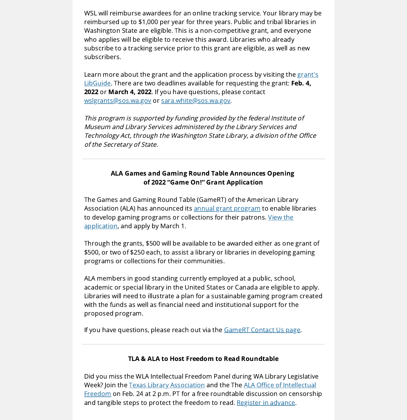WSL will reimburse awardees for an online tracking service. Your library may be reimbursed up to \$1,000 per year for three years. Public and tribal libraries in Washington State are eligible. This is a non-competitive grant, and everyone who applies will be eligible to receive this award. Libraries who already subscribe to a tracking service prior to this grant are eligible, as well as new subscribers.

Learn more about the grant and the [application](https://washstatelib.libguides.com/onlinetrackinggrant) process by visiting the grant's LibGuide. There are two deadlines available for requesting the grant: Feb. 4, 2022 or March 4, 2022. If you have questions, please contact [wslgrants@sos.wa.gov](mailto:wslgrants@sos.wa.gov) or [sara.white@sos.wa.gov](mailto:sara.white@sos.wa.gov).

This program is supported by funding provided by the federal Institute of Museum and Library Services administered by the Library Services and Technology Act, through the Washington State Library, a division of the Office of the Secretary of State.

### ALA Games and Gaming Round Table Announces Opening of 2022 "Game On!" Grant Application

The Games and Gaming Round Table (GameRT) of the American Library Association (ALA) has announced its annual grant [program](https://www.ala.org/rt/gamert/game-grants) to enable libraries to develop gaming programs or collections for their patrons. View the [application,](https://docs.google.com/document/d/e/2PACX-1vTRth0C61yLLuCTDjhO4B8LCzunTGMBLq2-RrlwTAlyS1_xlEFm4SN6cbXnYdIIAg/pub) and apply by March 1.

Through the grants, \$500 will be available to be awarded either as one grant of \$500, or two of \$250 each, to assist a library or libraries in developing gaming programs or collections for their communities.

ALA members in good standing currently employed at a public, school, academic or special library in the United States or Canada are eligible to apply. Libraries will need to illustrate a plan for a sustainable gaming program created with the funds as well as financial need and institutional support for the proposed program.

If you have questions, please reach out via the **[GameRT](https://games.ala.org/contact-us/)** Contact Us page.

### TLA & ALA to Host Freedom to Read Roundtable

Did you miss the WLA Intellectual Freedom Panel during WA Library Legislative Week? Join the Texas Library [Association](https://txla.org/) and the The ALA Office of Intellectual Freedom on Feb. 24 at 2 p.m. PT for a free roundtable discussion on censorship and tangible steps to protect the freedom to read. Register in [advance](https://ala-events.zoom.us/webinar/register/6516431312852/WN_C71GPH2RQq2f4FoxJmqyYQ).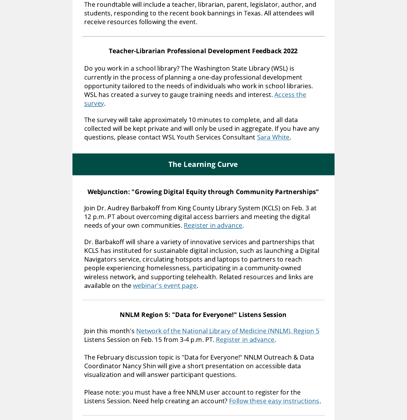The roundtable will include a teacher, librarian, parent, legislator, author, and students, responding to the recent book bannings in Texas. All attendees will receive resources following the event.

### Teacher-Librarian Professional Development Feedback 2022

Do you work in a school library? The Washington State Library (WSL) is currently in the process of planning a one-day professional development opportunity tailored to the needs of individuals who work in school libraries. WSL has created a survey to gauge training needs and [interest.](https://www.surveymonkey.com/r/teacherlibrarianpd) Access the survey.

The survey will take approximately 10 minutes to complete, and all data collected will be kept private and will only be used in aggregate. If you have any questions, please contact WSL Youth Services Consultant Sara [White.](mailto:Sara.White@sos.wa.gov?subject=&body=)

### The Learning Curve

### WebJunction: "Growing Digital Equity through Community Partnerships"

Join Dr. Audrey Barbakoff from King County Library System (KCLS) on Feb. 3 at 12 p.m. PT about overcoming digital access barriers and meeting the digital needs of your own communities. Register in [advance.](https://oclcwebinar.webex.com/mw3300/mywebex/default.do?nomenu=true&siteurl=oclcwebinar&service=6&rnd=0.5782265123045092&main_url=https%3A%2F%2Foclcwebinar.webex.com%2Fec3300%2Feventcenter%2Fevent%2FeventAction.do%3FtheAction%3Ddetail%26%26%26EMK%3D4832534b0000000586b5b15e473eafdf91a2eebcc1558b5d0cd299db66841de0da4a0429194ea089%26siteurl%3Doclcwebinar%26confViewID%3D215601671195077924%26encryptTicket%3DSDJTSwAAAAUE12pj1Fm69DOSjTEP7HAh1O1L8QnXrtyp3nhWvGNQBg2%26)

Dr. Barbakoff will share a variety of innovative services and partnerships that KCLS has instituted for sustainable digital inclusion, such as launching a Digital Navigators service, circulating hotspots and laptops to partners to reach people experiencing homelessness, participating in a community-owned wireless network, and supporting telehealth. Related resources and links are available on the [webinar's](https://www.webjunction.org/events/webjunction/growing-digital-equity.html) event page.

#### NNLM Region 5: "Data for Everyone!" Listens Session

Join this month's Network of the National Library of [Medicine](https://nnlm.gov/about/regions/region5) (NNLM), Region 5 Listens Session on Feb. 15 from 3-4 p.m. PT. Register in [advance](https://nnlm.gov/training/class/nnlm-region-5-listens-session-february-15-2022-data-everyone).

The February discussion topic is "Data for Everyone!" NNLM Outreach & Data Coordinator Nancy Shin will give a short presentation on accessible data visualization and will answer participant questions.

Please note: you must have a free NNLM user account to register for the Listens Session. Need help creating an account? Follow these easy [instructions](https://news.nnlm.gov/region_5/consumer-health-minute-creating-an-nnlm-user-account/).